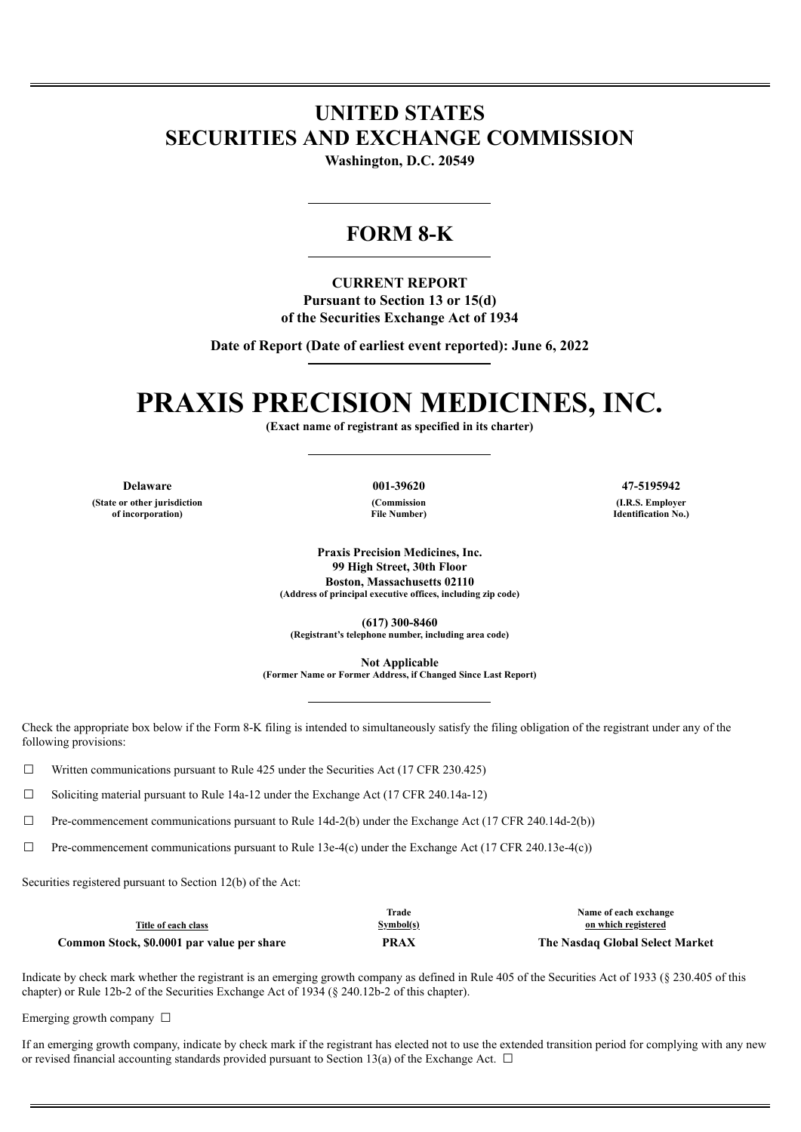## **UNITED STATES SECURITIES AND EXCHANGE COMMISSION**

**Washington, D.C. 20549**

### **FORM 8-K**

**CURRENT REPORT Pursuant to Section 13 or 15(d) of the Securities Exchange Act of 1934**

**Date of Report (Date of earliest event reported): June 6, 2022**

# **PRAXIS PRECISION MEDICINES, INC.**

**(Exact name of registrant as specified in its charter)**

**(State or other jurisdiction of incorporation)**

**(Commission File Number)**

**Delaware 001-39620 47-5195942 (I.R.S. Employer Identification No.)**

> **Praxis Precision Medicines, Inc. 99 High Street, 30th Floor Boston, Massachusetts 02110 (Address of principal executive offices, including zip code)**

**(617) 300-8460 (Registrant's telephone number, including area code)**

**Not Applicable**

**(Former Name or Former Address, if Changed Since Last Report)**

Check the appropriate box below if the Form 8-K filing is intended to simultaneously satisfy the filing obligation of the registrant under any of the following provisions:

 $\Box$  Written communications pursuant to Rule 425 under the Securities Act (17 CFR 230.425)

 $\Box$  Soliciting material pursuant to Rule 14a-12 under the Exchange Act (17 CFR 240.14a-12)

 $\Box$  Pre-commencement communications pursuant to Rule 14d-2(b) under the Exchange Act (17 CFR 240.14d-2(b))

 $\Box$  Pre-commencement communications pursuant to Rule 13e-4(c) under the Exchange Act (17 CFR 240.13e-4(c))

Securities registered pursuant to Section 12(b) of the Act:

|                                            | Trade     | Name of each exchange           |
|--------------------------------------------|-----------|---------------------------------|
| Title of each class                        | Symbol(s) | on which registered             |
| Common Stock, \$0.0001 par value per share | PRAX      | The Nasdaq Global Select Market |

Indicate by check mark whether the registrant is an emerging growth company as defined in Rule 405 of the Securities Act of 1933 (§ 230.405 of this chapter) or Rule 12b-2 of the Securities Exchange Act of 1934 (§ 240.12b-2 of this chapter).

Emerging growth company  $\Box$ 

If an emerging growth company, indicate by check mark if the registrant has elected not to use the extended transition period for complying with any new or revised financial accounting standards provided pursuant to Section 13(a) of the Exchange Act.  $\Box$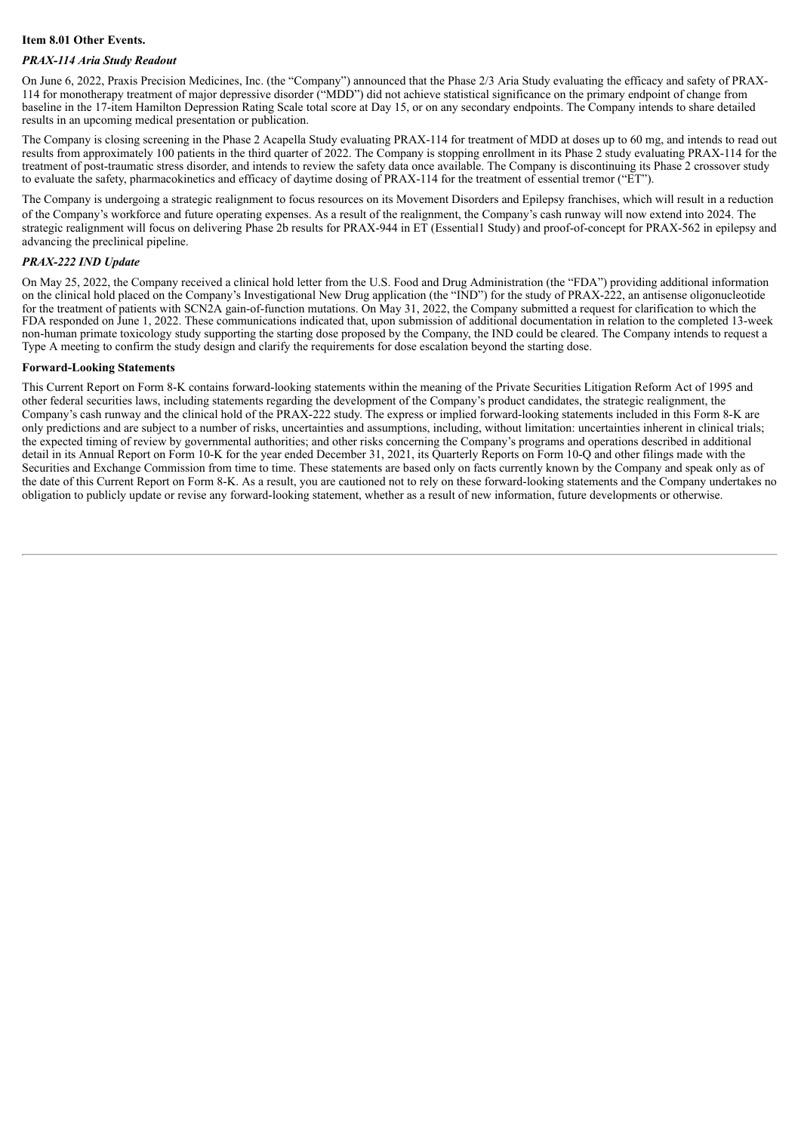#### **Item 8.01 Other Events.**

#### *PRAX-114 Aria Study Readout*

On June 6, 2022, Praxis Precision Medicines, Inc. (the "Company") announced that the Phase 2/3 Aria Study evaluating the efficacy and safety of PRAX-114 for monotherapy treatment of major depressive disorder ("MDD") did not achieve statistical significance on the primary endpoint of change from baseline in the 17-item Hamilton Depression Rating Scale total score at Day 15, or on any secondary endpoints. The Company intends to share detailed results in an upcoming medical presentation or publication.

The Company is closing screening in the Phase 2 Acapella Study evaluating PRAX-114 for treatment of MDD at doses up to 60 mg, and intends to read out results from approximately 100 patients in the third quarter of 2022. The Company is stopping enrollment in its Phase 2 study evaluating PRAX-114 for the treatment of post-traumatic stress disorder, and intends to review the safety data once available. The Company is discontinuing its Phase 2 crossover study to evaluate the safety, pharmacokinetics and efficacy of daytime dosing of PRAX-114 for the treatment of essential tremor ("ET").

The Company is undergoing a strategic realignment to focus resources on its Movement Disorders and Epilepsy franchises, which will result in a reduction of the Company's workforce and future operating expenses. As a result of the realignment, the Company's cash runway will now extend into 2024. The strategic realignment will focus on delivering Phase 2b results for PRAX-944 in ET (Essential1 Study) and proof-of-concept for PRAX-562 in epilepsy and advancing the preclinical pipeline.

#### *PRAX-222 IND Update*

On May 25, 2022, the Company received a clinical hold letter from the U.S. Food and Drug Administration (the "FDA") providing additional information on the clinical hold placed on the Company's Investigational New Drug application (the "IND") for the study of PRAX-222, an antisense oligonucleotide for the treatment of patients with SCN2A gain-of-function mutations. On May 31, 2022, the Company submitted a request for clarification to which the FDA responded on June 1, 2022. These communications indicated that, upon submission of additional documentation in relation to the completed 13-week non-human primate toxicology study supporting the starting dose proposed by the Company, the IND could be cleared. The Company intends to request a Type A meeting to confirm the study design and clarify the requirements for dose escalation beyond the starting dose.

#### **Forward-Looking Statements**

This Current Report on Form 8-K contains forward-looking statements within the meaning of the Private Securities Litigation Reform Act of 1995 and other federal securities laws, including statements regarding the development of the Company's product candidates, the strategic realignment, the Company's cash runway and the clinical hold of the PRAX-222 study. The express or implied forward-looking statements included in this Form 8-K are only predictions and are subject to a number of risks, uncertainties and assumptions, including, without limitation: uncertainties inherent in clinical trials; the expected timing of review by governmental authorities; and other risks concerning the Company's programs and operations described in additional detail in its Annual Report on Form 10-K for the year ended December 31, 2021, its Quarterly Reports on Form 10-Q and other filings made with the Securities and Exchange Commission from time to time. These statements are based only on facts currently known by the Company and speak only as of the date of this Current Report on Form 8-K. As a result, you are cautioned not to rely on these forward-looking statements and the Company undertakes no obligation to publicly update or revise any forward-looking statement, whether as a result of new information, future developments or otherwise.